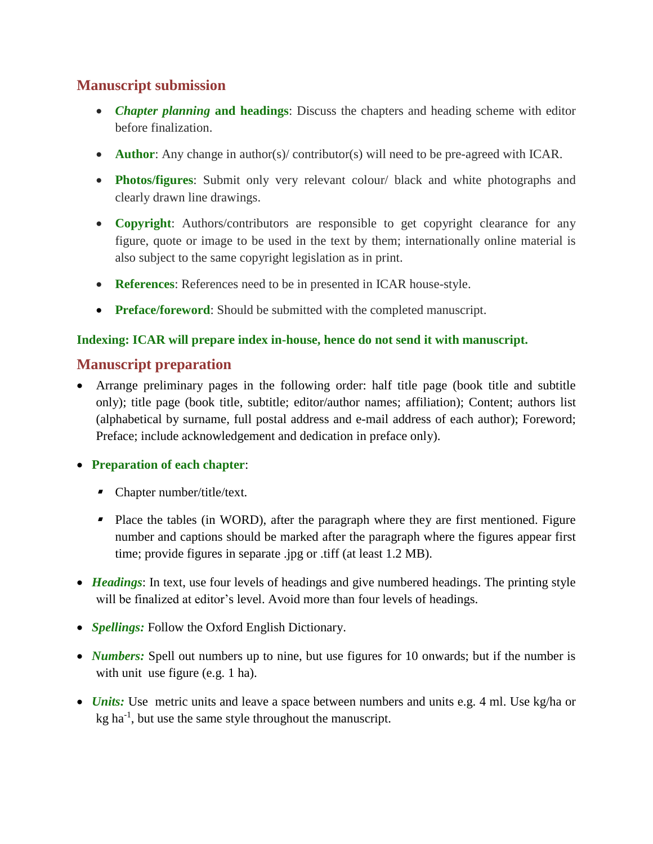# **Manuscript submission**

- *Chapter planning* **and headings**: Discuss the chapters and heading scheme with editor before finalization.
- **Author**: Any change in author(s)/ contributor(s) will need to be pre-agreed with ICAR.
- **Photos/figures**: Submit only very relevant colour/ black and white photographs and clearly drawn line drawings.
- **Copyright**: Authors/contributors are responsible to get copyright clearance for any figure, quote or image to be used in the text by them; internationally online material is also subject to the same copyright legislation as in print.
- **References**: References need to be in presented in ICAR house-style.
- **Preface/foreword:** Should be submitted with the completed manuscript.

## **Indexing: ICAR will prepare index in-house, hence do not send it with manuscript.**

# **Manuscript preparation**

 Arrange preliminary pages in the following order: half title page (book title and subtitle only); title page (book title, subtitle; editor/author names; affiliation); Content; authors list (alphabetical by surname, full postal address and e-mail address of each author); Foreword; Preface; include acknowledgement and dedication in preface only).

**Preparation of each chapter**:

- Chapter number/title/text.
- **Place the tables (in WORD), after the paragraph where they are first mentioned. Figure** number and captions should be marked after the paragraph where the figures appear first time; provide figures in separate .jpg or .tiff (at least 1.2 MB).
- *Headings*: In text, use four levels of headings and give numbered headings. The printing style will be finalized at editor's level. Avoid more than four levels of headings.
- *Spellings:* Follow the Oxford English Dictionary.
- *Numbers:* Spell out numbers up to nine, but use figures for 10 onwards; but if the number is with unit use figure (e.g. 1 ha).
- *Units:* Use metric units and leave a space between numbers and units e.g. 4 ml. Use kg/ha or kg ha<sup>-1</sup>, but use the same style throughout the manuscript.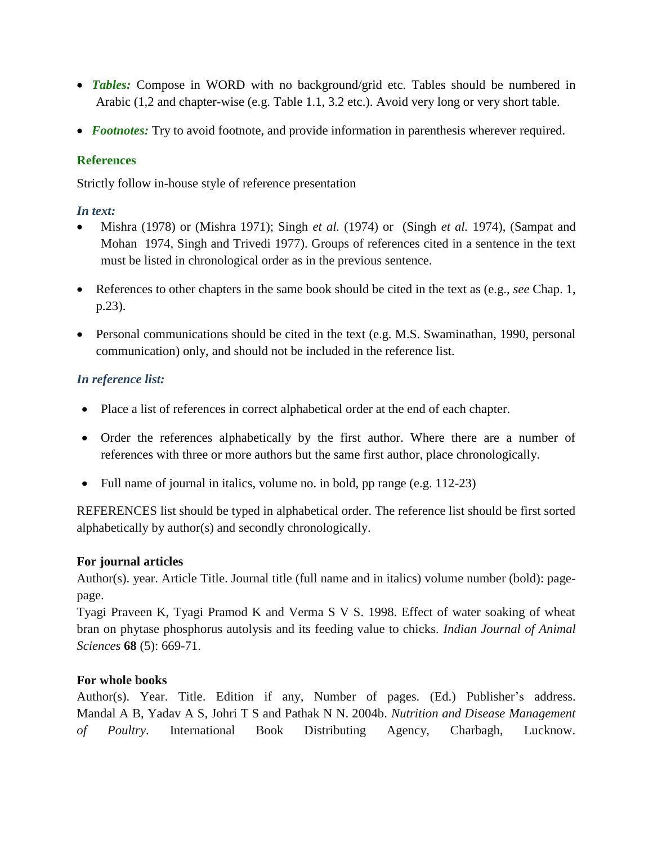- **Tables:** Compose in WORD with no background/grid etc. Tables should be numbered in Arabic (1,2 and chapter-wise (e.g. Table 1.1, 3.2 etc.). Avoid very long or very short table.
- *Footnotes:* Try to avoid footnote, and provide information in parenthesis wherever required.

## **References**

Strictly follow in-house style of reference presentation

### *In text:*

- Mishra (1978) or (Mishra 1971); Singh *et al.* (1974) or (Singh *et al.* 1974), (Sampat and Mohan 1974, Singh and Trivedi 1977). Groups of references cited in a sentence in the text must be listed in chronological order as in the previous sentence.
- References to other chapters in the same book should be cited in the text as (e.g., *see* Chap. 1, p.23).
- **•** Personal communications should be cited in the text (e.g. M.S. Swaminathan, 1990, personal communication) only, and should not be included in the reference list.

## *In reference list:*

- Place a list of references in correct alphabetical order at the end of each chapter.
- Order the references alphabetically by the first author. Where there are a number of references with three or more authors but the same first author, place chronologically.
- Full name of journal in italics, volume no. in bold, pp range (e.g. 112-23)

REFERENCES list should be typed in alphabetical order. The reference list should be first sorted alphabetically by author(s) and secondly chronologically.

## **For journal articles**

Author(s). year. Article Title. Journal title (full name and in italics) volume number (bold): pagepage.

Tyagi Praveen K, Tyagi Pramod K and Verma S V S. 1998. Effect of water soaking of wheat bran on phytase phosphorus autolysis and its feeding value to chicks. *Indian Journal of Animal Sciences* **68** (5): 669-71.

## **For whole books**

Author(s). Year. Title. Edition if any, Number of pages. (Ed.) Publisher's address. Mandal A B, Yadav A S, Johri T S and Pathak N N. 2004b. *Nutrition and Disease Management of Poultry*. International Book Distributing Agency, Charbagh, Lucknow.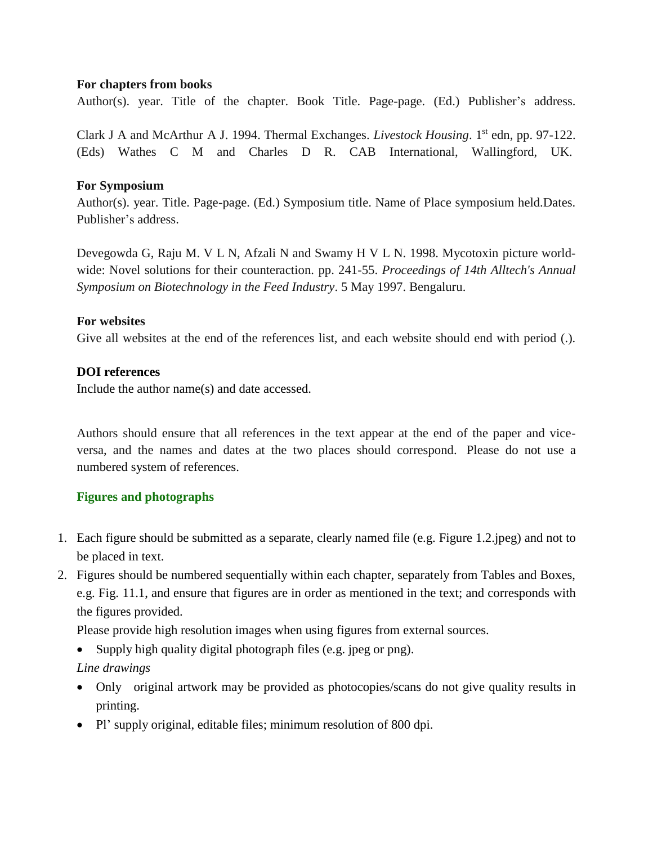#### **For chapters from books**

Author(s). year. Title of the chapter. Book Title. Page-page. (Ed.) Publisher's address.

Clark J A and McArthur A J. 1994. Thermal Exchanges. *Livestock Housing*. 1 st edn, pp. 97-122. (Eds) Wathes C M and Charles D R. CAB International, Wallingford, UK.

#### **For Symposium**

Author(s). year. Title. Page-page. (Ed.) Symposium title. Name of Place symposium held.Dates. Publisher's address.

Devegowda G, Raju M. V L N, Afzali N and Swamy H V L N. 1998. Mycotoxin picture worldwide: Novel solutions for their counteraction. pp. 241-55. *Proceedings of 14th Alltech's Annual Symposium on Biotechnology in the Feed Industry*. 5 May 1997. Bengaluru.

#### **For websites**

Give all websites at the end of the references list, and each website should end with period (.).

#### **DOI references**

Include the author name(s) and date accessed.

Authors should ensure that all references in the text appear at the end of the paper and viceversa, and the names and dates at the two places should correspond. Please do not use a numbered system of references.

## **Figures and photographs**

- 1. Each figure should be submitted as a separate, clearly named file (e.g. Figure 1.2.jpeg) and not to be placed in text.
- 2. Figures should be numbered sequentially within each chapter, separately from Tables and Boxes, e.g. Fig. 11.1, and ensure that figures are in order as mentioned in the text; and corresponds with the figures provided.

Please provide high resolution images when using figures from external sources.

Supply high quality digital photograph files (e.g. jpeg or png).

*Line drawings*

- Only original artwork may be provided as photocopies/scans do not give quality results in printing.
- Pl' supply original, editable files; minimum resolution of 800 dpi.